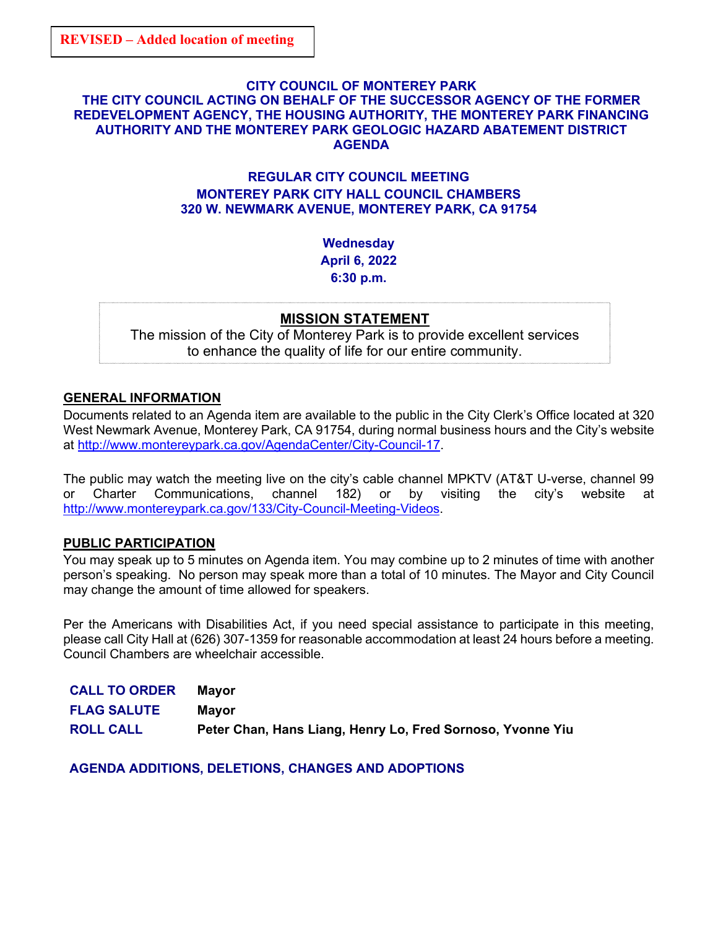#### **CITY COUNCIL OF MONTEREY PARK THE CITY COUNCIL ACTING ON BEHALF OF THE SUCCESSOR AGENCY OF THE FORMER REDEVELOPMENT AGENCY, THE HOUSING AUTHORITY, THE MONTEREY PARK FINANCING AUTHORITY AND THE MONTEREY PARK GEOLOGIC HAZARD ABATEMENT DISTRICT AGENDA**

# **REGULAR CITY COUNCIL MEETING MONTEREY PARK CITY HALL COUNCIL CHAMBERS 320 W. NEWMARK AVENUE, MONTEREY PARK, CA 91754**

**Wednesday April 6, 2022 6:30 p.m.**

## **MISSION STATEMENT**

The mission of the City of Monterey Park is to provide excellent services to enhance the quality of life for our entire community.

## **GENERAL INFORMATION**

Documents related to an Agenda item are available to the public in the City Clerk's Office located at 320 West Newmark Avenue, Monterey Park, CA 91754, during normal business hours and the City's website at [http://www.montereypark.ca.gov/AgendaCenter/City-Council-17.](http://www.montereypark.ca.gov/AgendaCenter/City-Council-17)

The public may watch the meeting live on the city's cable channel MPKTV (AT&T U-verse, channel 99 or Charter Communications, channel 182) or by visiting the city's website at [http://www.montereypark.ca.gov/133/City-Council-Meeting-Videos.](http://www.montereypark.ca.gov/133/City-Council-Meeting-Videos)

## **PUBLIC PARTICIPATION**

You may speak up to 5 minutes on Agenda item. You may combine up to 2 minutes of time with another person's speaking. No person may speak more than a total of 10 minutes. The Mayor and City Council may change the amount of time allowed for speakers.

Per the Americans with Disabilities Act, if you need special assistance to participate in this meeting, please call City Hall at (626) 307-1359 for reasonable accommodation at least 24 hours before a meeting. Council Chambers are wheelchair accessible.

| <b>CALL TO ORDER</b> | Mavor                                                      |
|----------------------|------------------------------------------------------------|
| <b>FLAG SALUTE</b>   | Mavor                                                      |
| <b>ROLL CALL</b>     | Peter Chan, Hans Liang, Henry Lo, Fred Sornoso, Yvonne Yiu |

**AGENDA ADDITIONS, DELETIONS, CHANGES AND ADOPTIONS**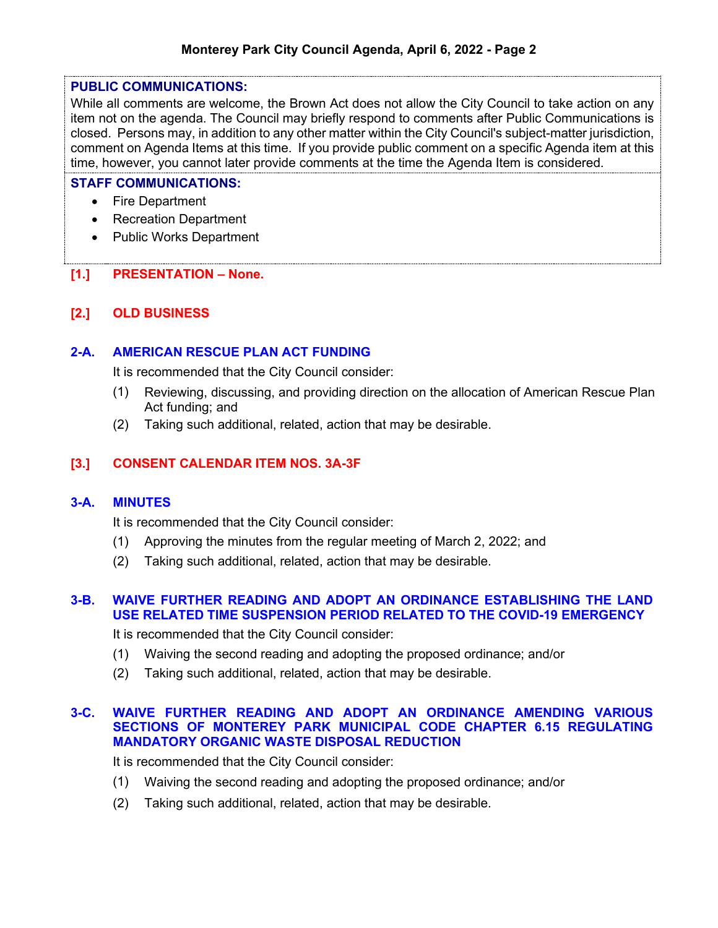#### **PUBLIC COMMUNICATIONS:**

While all comments are welcome, the Brown Act does not allow the City Council to take action on any item not on the agenda. The Council may briefly respond to comments after Public Communications is closed. Persons may, in addition to any other matter within the City Council's subject-matter jurisdiction, comment on Agenda Items at this time. If you provide public comment on a specific Agenda item at this time, however, you cannot later provide comments at the time the Agenda Item is considered.

#### **STAFF COMMUNICATIONS:**

- Fire Department
- Recreation Department
- Public Works Department

# **[1.] PRESENTATION – None.**

# **[2.] OLD BUSINESS**

## **2-A. AMERICAN RESCUE PLAN ACT FUNDING**

It is recommended that the City Council consider:

- (1) Reviewing, discussing, and providing direction on the allocation of American Rescue Plan Act funding; and
- (2) Taking such additional, related, action that may be desirable.

# **[3.] CONSENT CALENDAR ITEM NOS. 3A-3F**

## **3-A. MINUTES**

It is recommended that the City Council consider:

- (1) Approving the minutes from the regular meeting of March 2, 2022; and
- (2) Taking such additional, related, action that may be desirable.

# **3-B. WAIVE FURTHER READING AND ADOPT AN ORDINANCE ESTABLISHING THE LAND USE RELATED TIME SUSPENSION PERIOD RELATED TO THE COVID-19 EMERGENCY**

It is recommended that the City Council consider:

- (1) Waiving the second reading and adopting the proposed ordinance; and/or
- (2) Taking such additional, related, action that may be desirable.

#### **3-C. WAIVE FURTHER READING AND ADOPT AN ORDINANCE AMENDING VARIOUS SECTIONS OF MONTEREY PARK MUNICIPAL CODE CHAPTER 6.15 REGULATING MANDATORY ORGANIC WASTE DISPOSAL REDUCTION**

It is recommended that the City Council consider:

- (1) Waiving the second reading and adopting the proposed ordinance; and/or
- (2) Taking such additional, related, action that may be desirable.